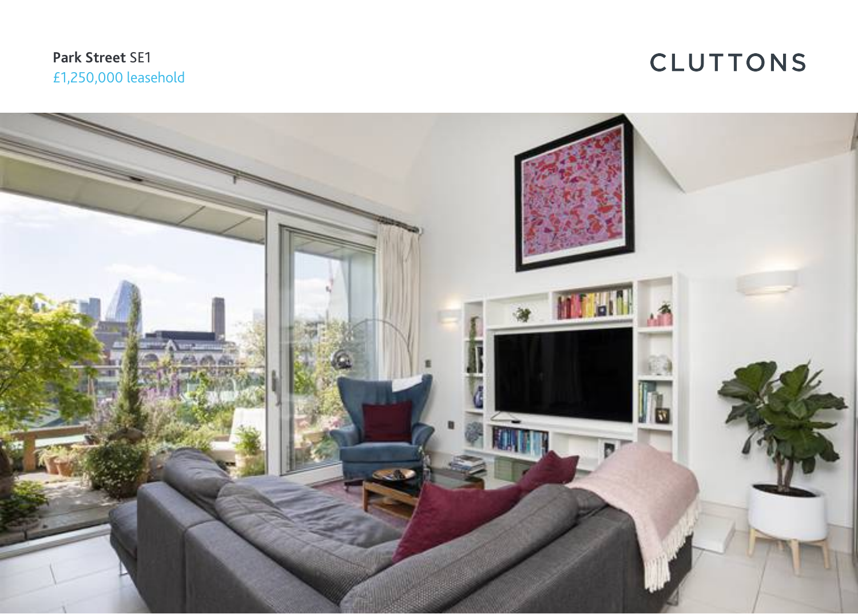£1,250,000 leasehold **Park Street** SE1



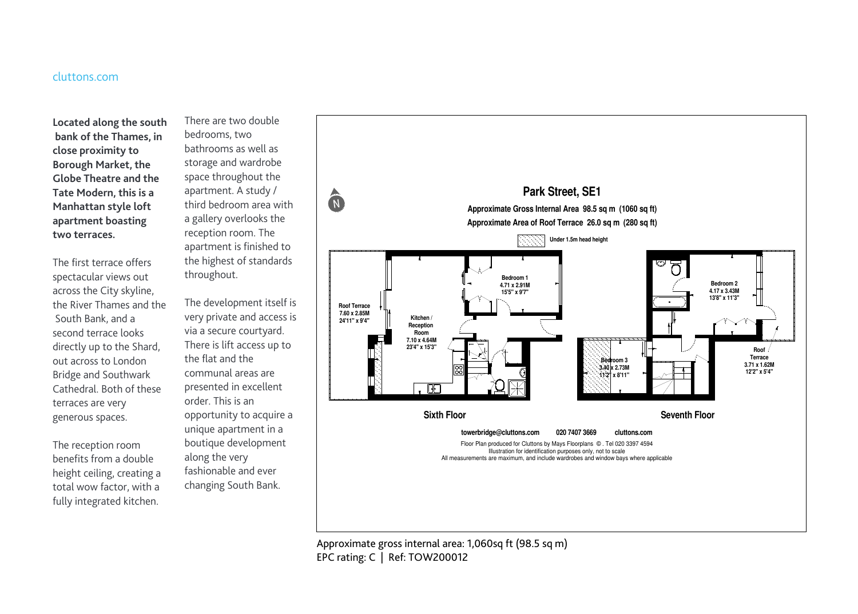## cluttons.com

**Located along the south bank of the Thames, in close proximity to Borough Market, the Globe Theatre and the Tate Modern, this is a Manhattan style loft apartment boasting two terraces.**

The first terrace offers spectacular views out across the City skyline, the River Thames and the South Bank, and a second terrace looks directly up to the Shard, out across to London Bridge and Southwark Cathedral. Both of these terraces are very generous spaces.

The reception room benefits from a double height ceiling, creating a total wow factor, with a fully integrated kitchen.

There are two double bedrooms, two bathrooms as well as storage and wardrobe space throughout the apartment. A study / third bedroom area with a gallery overlooks the reception room. The apartment is finished to the highest of standards throughout.

The development itself is very private and access is via a secure courtyard. There is lift access up to the flat and the communal areas are presented in excellent order. This is an opportunity to acquire a unique apartment in a boutique development along the very fashionable and ever changing South Bank.



Approximate gross internal area: 1,060sq ft (98.5 sq m) EPC rating: C | Ref: TOW200012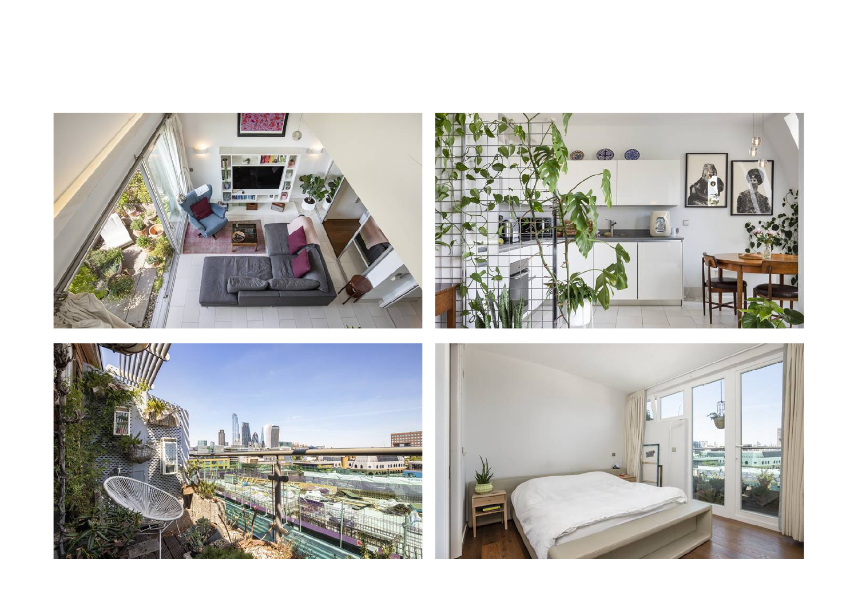